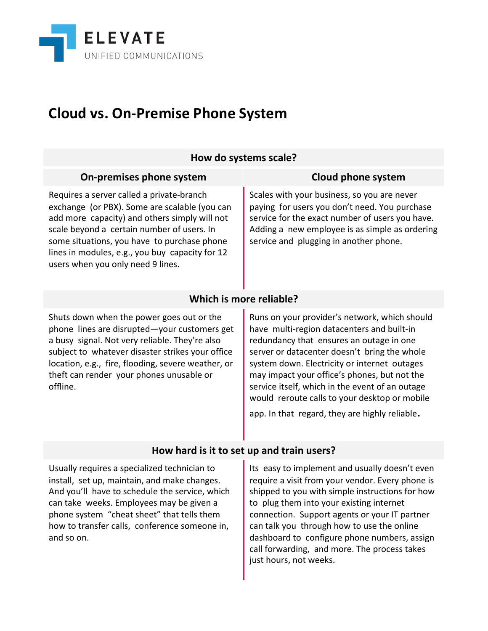

## **Cloud vs. On-Premise Phone System**

| How do systems scale?                                                                                                                                                                                                                                                                                                            |                                                                                                                                                                                                                                                                                                                                                                                                                                               |  |
|----------------------------------------------------------------------------------------------------------------------------------------------------------------------------------------------------------------------------------------------------------------------------------------------------------------------------------|-----------------------------------------------------------------------------------------------------------------------------------------------------------------------------------------------------------------------------------------------------------------------------------------------------------------------------------------------------------------------------------------------------------------------------------------------|--|
| On-premises phone system                                                                                                                                                                                                                                                                                                         | <b>Cloud phone system</b>                                                                                                                                                                                                                                                                                                                                                                                                                     |  |
| Requires a server called a private-branch<br>exchange (or PBX). Some are scalable (you can<br>add more capacity) and others simply will not<br>scale beyond a certain number of users. In<br>some situations, you have to purchase phone<br>lines in modules, e.g., you buy capacity for 12<br>users when you only need 9 lines. | Scales with your business, so you are never<br>paying for users you don't need. You purchase<br>service for the exact number of users you have.<br>Adding a new employee is as simple as ordering<br>service and plugging in another phone.                                                                                                                                                                                                   |  |
| Which is more reliable?                                                                                                                                                                                                                                                                                                          |                                                                                                                                                                                                                                                                                                                                                                                                                                               |  |
| Shuts down when the power goes out or the<br>phone lines are disrupted-your customers get<br>a busy signal. Not very reliable. They're also<br>subject to whatever disaster strikes your office<br>location, e.g., fire, flooding, severe weather, or<br>theft can render your phones unusable or<br>offline.                    | Runs on your provider's network, which should<br>have multi-region datacenters and built-in<br>redundancy that ensures an outage in one<br>server or datacenter doesn't bring the whole<br>system down. Electricity or internet outages<br>may impact your office's phones, but not the<br>service itself, which in the event of an outage<br>would reroute calls to your desktop or mobile<br>app. In that regard, they are highly reliable. |  |
| How hard is it to set up and train users?                                                                                                                                                                                                                                                                                        |                                                                                                                                                                                                                                                                                                                                                                                                                                               |  |
| Usually requires a specialized technician to<br>install, set up, maintain, and make changes.<br>And you'll have to schedule the service, which<br>can take weeks. Employees may be given a<br>phone system "cheat sheet" that tells them<br>how to transfer calls, conference someone in,<br>and so on.                          | Its easy to implement and usually doesn't even<br>require a visit from your vendor. Every phone is<br>shipped to you with simple instructions for how<br>to plug them into your existing internet<br>connection. Support agents or your IT partner<br>can talk you through how to use the online<br>dashboard to configure phone numbers, assign                                                                                              |  |

call forwarding, and more. The process takes

just hours, not weeks.